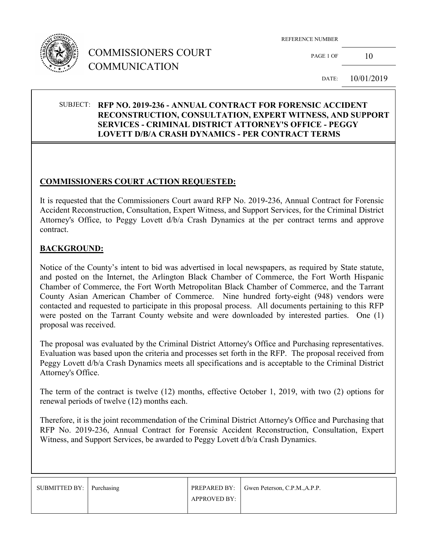

# COMMISSIONERS COURT COMMUNICATION

PAGE 1 OF  $10$ 

DATE: 10/01/2019

### SUBJECT: **RFP NO. 2019-236 - ANNUAL CONTRACT FOR FORENSIC ACCIDENT RECONSTRUCTION, CONSULTATION, EXPERT WITNESS, AND SUPPORT SERVICES - CRIMINAL DISTRICT ATTORNEY'S OFFICE - PEGGY LOVETT D/B/A CRASH DYNAMICS - PER CONTRACT TERMS**

#### **COMMISSIONERS COURT ACTION REQUESTED:**

It is requested that the Commissioners Court award RFP No. 2019-236, Annual Contract for Forensic Accident Reconstruction, Consultation, Expert Witness, and Support Services, for the Criminal District Attorney's Office, to Peggy Lovett d/b/a Crash Dynamics at the per contract terms and approve contract.

#### **BACKGROUND:**

Notice of the County's intent to bid was advertised in local newspapers, as required by State statute, and posted on the Internet, the Arlington Black Chamber of Commerce, the Fort Worth Hispanic Chamber of Commerce, the Fort Worth Metropolitan Black Chamber of Commerce, and the Tarrant County Asian American Chamber of Commerce. Nine hundred forty-eight (948) vendors were contacted and requested to participate in this proposal process. All documents pertaining to this RFP were posted on the Tarrant County website and were downloaded by interested parties. One (1) proposal was received.

The proposal was evaluated by the Criminal District Attorney's Office and Purchasing representatives. Evaluation was based upon the criteria and processes set forth in the RFP. The proposal received from Peggy Lovett d/b/a Crash Dynamics meets all specifications and is acceptable to the Criminal District Attorney's Office.

The term of the contract is twelve (12) months, effective October 1, 2019, with two (2) options for renewal periods of twelve (12) months each.

Therefore, it is the joint recommendation of the Criminal District Attorney's Office and Purchasing that RFP No. 2019-236, Annual Contract for Forensic Accident Reconstruction, Consultation, Expert Witness, and Support Services, be awarded to Peggy Lovett d/b/a Crash Dynamics.

| SUBMITTED BY: Purchasing |                     | <b>PREPARED BY:</b> Gwen Peterson, C.P.M., A.P.P. |
|--------------------------|---------------------|---------------------------------------------------|
|                          | <b>APPROVED BY:</b> |                                                   |